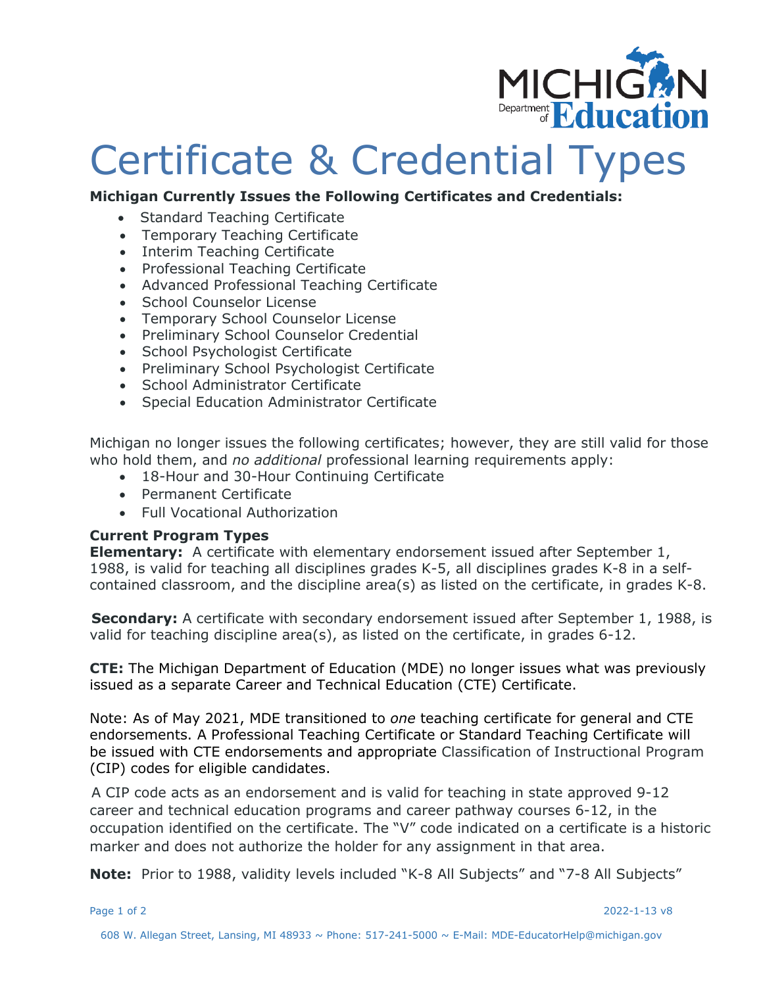

## Certificate & Credential Types

## **Michigan Currently Issues the Following Certificates and Credentials:**

- Standard Teaching Certificate
- Temporary Teaching Certificate
- Interim Teaching Certificate
- Professional Teaching Certificate
- Advanced Professional Teaching Certificate
- School Counselor License
- Temporary School Counselor License
- Preliminary School Counselor Credential
- School Psychologist Certificate
- Preliminary School Psychologist Certificate
- School Administrator Certificate
- Special Education Administrator Certificate

Michigan no longer issues the following certificates; however, they are still valid for those who hold them, and *no additional* professional learning requirements apply:

- 18-Hour and 30-Hour Continuing Certificate
- Permanent Certificate
- Full Vocational Authorization

## **Current Program Types**

**Elementary:** A certificate with elementary endorsement issued after September 1, 1988, is valid for teaching all disciplines grades K-5, all disciplines grades K-8 in a selfcontained classroom, and the discipline area(s) as listed on the certificate, in grades K-8.

**Secondary:** A certificate with secondary endorsement issued after September 1, 1988, is valid for teaching discipline area(s), as listed on the certificate, in grades 6-12.

**CTE:** The Michigan Department of Education (MDE) no longer issues what was previously issued as a separate Career and Technical Education (CTE) Certificate.

Note: As of May 2021, MDE transitioned to *one* teaching certificate for general and CTE endorsements. A Professional Teaching Certificate or Standard Teaching Certificate will be issued with CTE endorsements and appropriate Classification of Instructional Program (CIP) codes for eligible candidates.

A CIP code acts as an endorsement and is valid for teaching in state approved 9-12 career and technical education programs and career pathway courses 6-12, in the occupation identified on the certificate. The "V" code indicated on a certificate is a historic marker and does not authorize the holder for any assignment in that area.

**Note:** Prior to 1988, validity levels included "K-8 All Subjects" and "7-8 All Subjects"